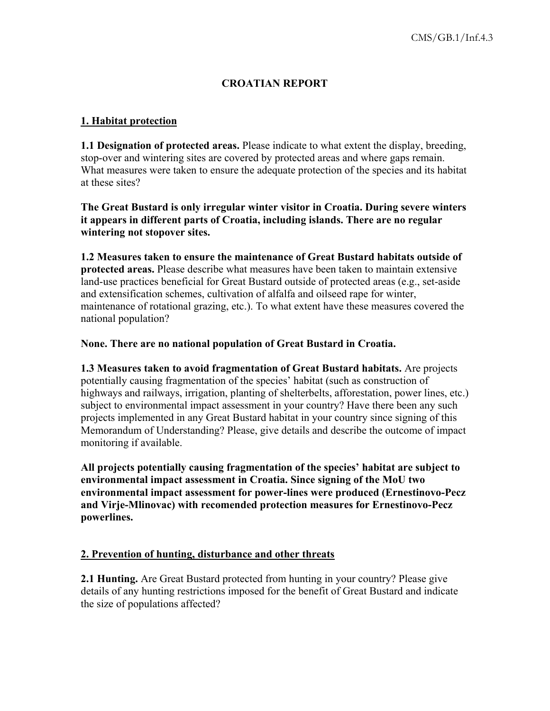# **CROATIAN REPORT**

#### **1. Habitat protection**

**1.1 Designation of protected areas.** Please indicate to what extent the display, breeding, stop-over and wintering sites are covered by protected areas and where gaps remain. What measures were taken to ensure the adequate protection of the species and its habitat at these sites?

**The Great Bustard is only irregular winter visitor in Croatia. During severe winters it appears in different parts of Croatia, including islands. There are no regular wintering not stopover sites.** 

**1.2 Measures taken to ensure the maintenance of Great Bustard habitats outside of protected areas.** Please describe what measures have been taken to maintain extensive land-use practices beneficial for Great Bustard outside of protected areas (e.g., set-aside and extensification schemes, cultivation of alfalfa and oilseed rape for winter, maintenance of rotational grazing, etc.). To what extent have these measures covered the national population?

#### **None. There are no national population of Great Bustard in Croatia.**

**1.3 Measures taken to avoid fragmentation of Great Bustard habitats.** Are projects potentially causing fragmentation of the species' habitat (such as construction of highways and railways, irrigation, planting of shelterbelts, afforestation, power lines, etc.) subject to environmental impact assessment in your country? Have there been any such projects implemented in any Great Bustard habitat in your country since signing of this Memorandum of Understanding? Please, give details and describe the outcome of impact monitoring if available.

**All projects potentially causing fragmentation of the species' habitat are subject to environmental impact assessment in Croatia. Since signing of the MoU two environmental impact assessment for power-lines were produced (Ernestinovo-Pecz and Virje-Mlinovac) with recomended protection measures for Ernestinovo-Pecz powerlines.** 

#### **2. Prevention of hunting, disturbance and other threats**

**2.1 Hunting.** Are Great Bustard protected from hunting in your country? Please give details of any hunting restrictions imposed for the benefit of Great Bustard and indicate the size of populations affected?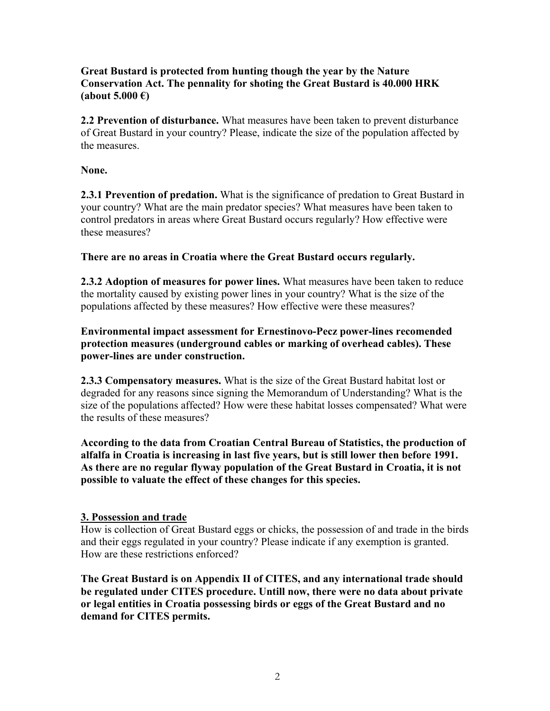# **Great Bustard is protected from hunting though the year by the Nature Conservation Act. The pennality for shoting the Great Bustard is 40.000 HRK (about 5.000 €)**

**2.2 Prevention of disturbance.** What measures have been taken to prevent disturbance of Great Bustard in your country? Please, indicate the size of the population affected by the measures.

**None.** 

**2.3.1 Prevention of predation.** What is the significance of predation to Great Bustard in your country? What are the main predator species? What measures have been taken to control predators in areas where Great Bustard occurs regularly? How effective were these measures?

# **There are no areas in Croatia where the Great Bustard occurs regularly.**

**2.3.2 Adoption of measures for power lines.** What measures have been taken to reduce the mortality caused by existing power lines in your country? What is the size of the populations affected by these measures? How effective were these measures?

**Environmental impact assessment for Ernestinovo-Pecz power-lines recomended protection measures (underground cables or marking of overhead cables). These power-lines are under construction.** 

**2.3.3 Compensatory measures.** What is the size of the Great Bustard habitat lost or degraded for any reasons since signing the Memorandum of Understanding? What is the size of the populations affected? How were these habitat losses compensated? What were the results of these measures?

**According to the data from Croatian Central Bureau of Statistics, the production of alfalfa in Croatia is increasing in last five years, but is still lower then before 1991. As there are no regular flyway population of the Great Bustard in Croatia, it is not possible to valuate the effect of these changes for this species.** 

# **3. Possession and trade**

How is collection of Great Bustard eggs or chicks, the possession of and trade in the birds and their eggs regulated in your country? Please indicate if any exemption is granted. How are these restrictions enforced?

**The Great Bustard is on Appendix II of CITES, and any international trade should be regulated under CITES procedure. Untill now, there were no data about private or legal entities in Croatia possessing birds or eggs of the Great Bustard and no demand for CITES permits.**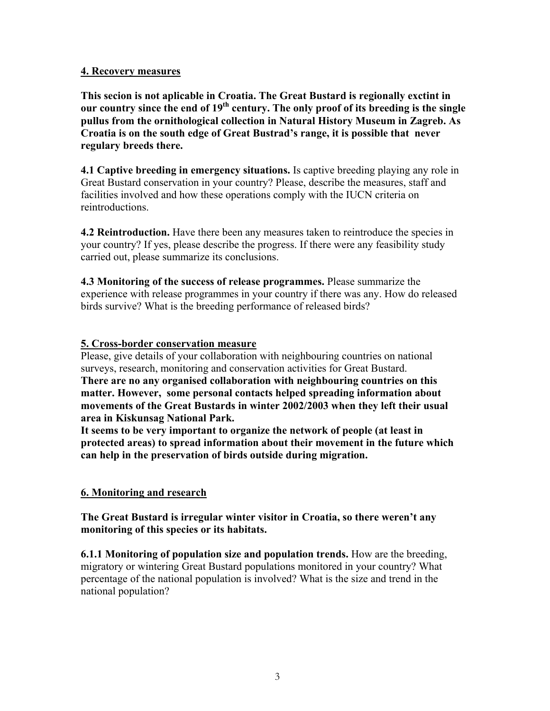#### **4. Recovery measures**

**This secion is not aplicable in Croatia. The Great Bustard is regionally exctint in our country since the end of 19th century. The only proof of its breeding is the single pullus from the ornithological collection in Natural History Museum in Zagreb. As Croatia is on the south edge of Great Bustrad's range, it is possible that never regulary breeds there.** 

**4.1 Captive breeding in emergency situations.** Is captive breeding playing any role in Great Bustard conservation in your country? Please, describe the measures, staff and facilities involved and how these operations comply with the IUCN criteria on reintroductions.

**4.2 Reintroduction.** Have there been any measures taken to reintroduce the species in your country? If yes, please describe the progress. If there were any feasibility study carried out, please summarize its conclusions.

**4.3 Monitoring of the success of release programmes.** Please summarize the experience with release programmes in your country if there was any. How do released birds survive? What is the breeding performance of released birds?

#### **5. Cross-border conservation measure**

Please, give details of your collaboration with neighbouring countries on national surveys, research, monitoring and conservation activities for Great Bustard.

**There are no any organised collaboration with neighbouring countries on this matter. However, some personal contacts helped spreading information about movements of the Great Bustards in winter 2002/2003 when they left their usual area in Kiskunsag National Park.** 

**It seems to be very important to organize the network of people (at least in protected areas) to spread information about their movement in the future which can help in the preservation of birds outside during migration.** 

# **6. Monitoring and research**

**The Great Bustard is irregular winter visitor in Croatia, so there weren't any monitoring of this species or its habitats.** 

**6.1.1 Monitoring of population size and population trends.** How are the breeding, migratory or wintering Great Bustard populations monitored in your country? What percentage of the national population is involved? What is the size and trend in the national population?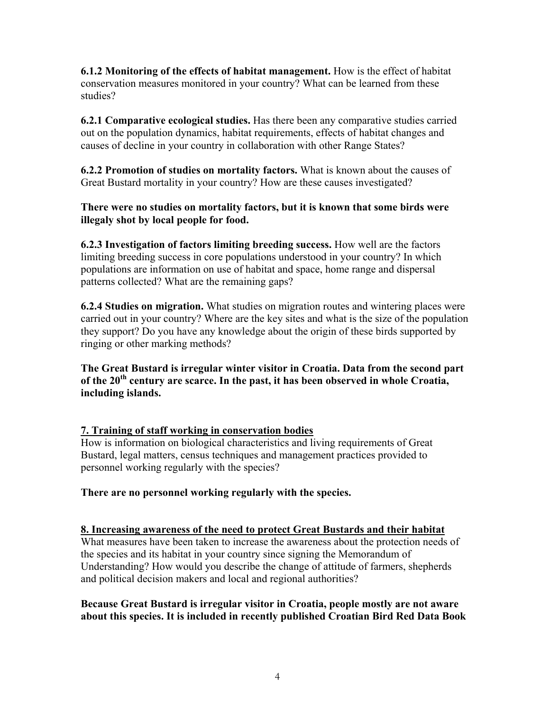**6.1.2 Monitoring of the effects of habitat management.** How is the effect of habitat conservation measures monitored in your country? What can be learned from these studies?

**6.2.1 Comparative ecological studies.** Has there been any comparative studies carried out on the population dynamics, habitat requirements, effects of habitat changes and causes of decline in your country in collaboration with other Range States?

**6.2.2 Promotion of studies on mortality factors.** What is known about the causes of Great Bustard mortality in your country? How are these causes investigated?

**There were no studies on mortality factors, but it is known that some birds were illegaly shot by local people for food.** 

**6.2.3 Investigation of factors limiting breeding success.** How well are the factors limiting breeding success in core populations understood in your country? In which populations are information on use of habitat and space, home range and dispersal patterns collected? What are the remaining gaps?

**6.2.4 Studies on migration.** What studies on migration routes and wintering places were carried out in your country? Where are the key sites and what is the size of the population they support? Do you have any knowledge about the origin of these birds supported by ringing or other marking methods?

**The Great Bustard is irregular winter visitor in Croatia. Data from the second part of the 20th century are scarce. In the past, it has been observed in whole Croatia, including islands.** 

# **7. Training of staff working in conservation bodies**

How is information on biological characteristics and living requirements of Great Bustard, legal matters, census techniques and management practices provided to personnel working regularly with the species?

**There are no personnel working regularly with the species.** 

# **8. Increasing awareness of the need to protect Great Bustards and their habitat**

What measures have been taken to increase the awareness about the protection needs of the species and its habitat in your country since signing the Memorandum of Understanding? How would you describe the change of attitude of farmers, shepherds and political decision makers and local and regional authorities?

# **Because Great Bustard is irregular visitor in Croatia, people mostly are not aware about this species. It is included in recently published Croatian Bird Red Data Book**